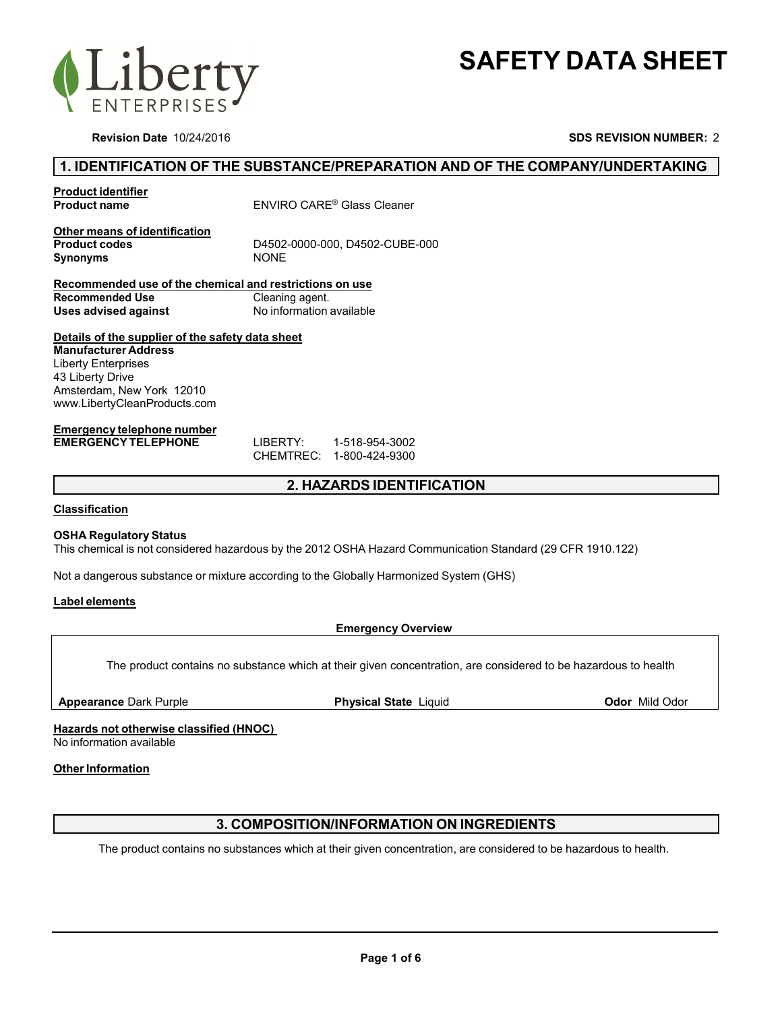



**Revision Date** 10/24/2016 **SDS REVISION NUMBER:**<sup>2</sup>

## **1. IDENTIFICATION OF THE SUBSTANCE/PREPARATION AND OF THE COMPANY/UNDERTAKING**

**Product identifier**

**Product name** ENVIRO CARE® Glass Cleaner

**Other means of identification** Synonyms NONE

**Product codes** D4502-0000-000, D4502-CUBE-000

**Recommended use of the chemical and restrictions on use Recommended Use Cleaning agent.<br>
Uses advised against <b>Cleaning Accord Profile** No information **Uses advised against** No information available

### **Details of the supplier of the safety data sheet**

**Manufacturer Address** Liberty Enterprises 43 Liberty Drive Amsterdam, New York 12010 www.LibertyCleanProducts.com

#### **Emergency telephone number EMERGENCY TELEPHONE** LIBERTY: 1-518-954-3002

CHEMTREC: 1-800-424-9300

## **2. HAZARDS IDENTIFICATION**

### **Classification**

### **OSHA Regulatory Status**

This chemical is not considered hazardous by the 2012 OSHA Hazard Communication Standard (29 CFR 1910.122)

Not a dangerous substance or mixture according to the Globally Harmonized System (GHS)

### **Label elements**

### **Emergency Overview**

The product contains no substance which at their given concentration, are considered to be hazardous to health

**Appearance** Dark Purple **Physical State** Liquid **Odor** Mild Odor

**Hazards not otherwise classified (HNOC)**

No information available

### **Other Information**

# **3. COMPOSITION/INFORMATION ON INGREDIENTS**

The product contains no substances which at their given concentration, are considered to be hazardous to health.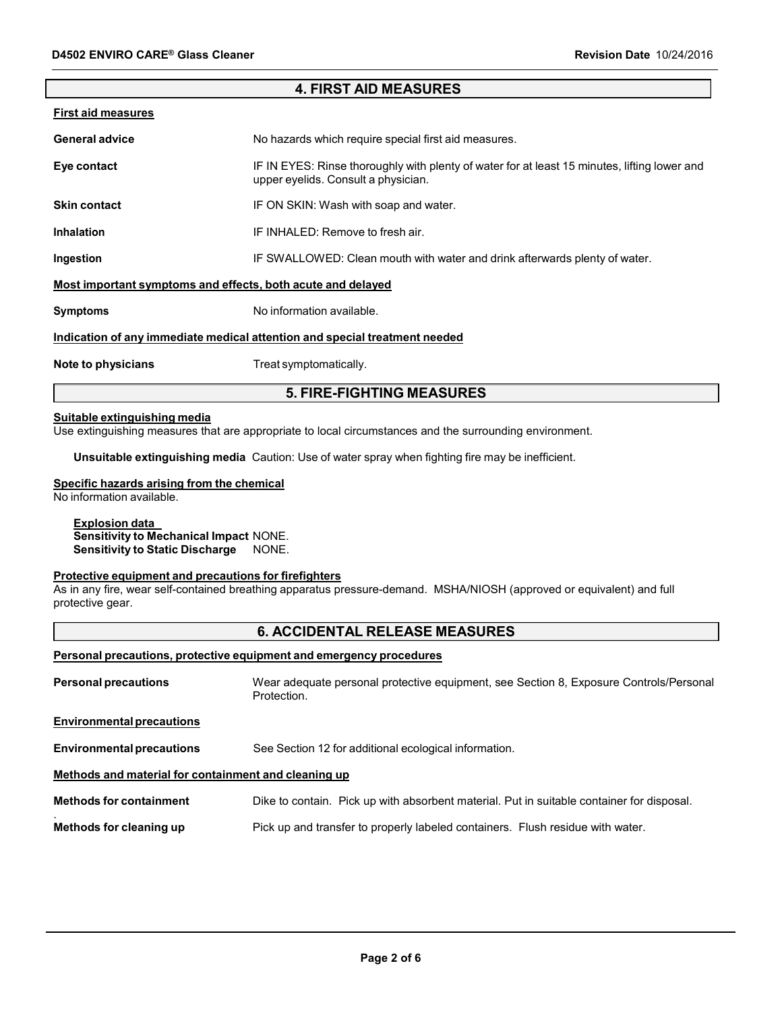| <b>4. FIRST AID MEASURES</b>                                                      |                                                                                                                                     |  |
|-----------------------------------------------------------------------------------|-------------------------------------------------------------------------------------------------------------------------------------|--|
| First aid measures                                                                |                                                                                                                                     |  |
| General advice                                                                    | No hazards which require special first aid measures.                                                                                |  |
| Eye contact                                                                       | IF IN EYES: Rinse thoroughly with plenty of water for at least 15 minutes, lifting lower and<br>upper eyelids. Consult a physician. |  |
| Skin contact                                                                      | IF ON SKIN: Wash with soap and water.                                                                                               |  |
| Inhalation                                                                        | IF INHALED: Remove to fresh air.                                                                                                    |  |
| Ingestion                                                                         | IF SWALLOWED: Clean mouth with water and drink afterwards plenty of water.                                                          |  |
| Most important symptoms and effects, both acute and delayed                       |                                                                                                                                     |  |
| Symptoms                                                                          | No information available.                                                                                                           |  |
| <u>Indication of any immediate medical attention and special treatment needed</u> |                                                                                                                                     |  |
| Note to physicians                                                                | Treat symptomatically.                                                                                                              |  |

# **5. FIRE-FIGHTING MEASURES**

#### **Suitable extinguishing media**

Use extinguishing measures that are appropriate to local circumstances and the surrounding environment.

**Unsuitable extinguishing media** Caution: Use of water spray when fighting fire may be inefficient.

# **Specific hazards arising from the chemical**

No information available.

# **Explosion data**

**Sensitivity to Mechanical Impact** NONE. **Sensitivity to Static Discharge** NONE.

### **Protective equipment and precautions for firefighters**

As in any fire, wear self-contained breathing apparatus pressure-demand. MSHA/NIOSH (approved or equivalent) and full protective gear.

# **6. ACCIDENTAL RELEASE MEASURES**

## **Personal precautions, protective equipment and emergency procedures**

| <b>Personal precautions</b>                          | Wear adequate personal protective equipment, see Section 8, Exposure Controls/Personal<br>Protection. |  |
|------------------------------------------------------|-------------------------------------------------------------------------------------------------------|--|
| <b>Environmental precautions</b>                     |                                                                                                       |  |
| <b>Environmental precautions</b>                     | See Section 12 for additional ecological information.                                                 |  |
| Methods and material for containment and cleaning up |                                                                                                       |  |
| <b>Methods for containment</b>                       | Dike to contain. Pick up with absorbent material. Put in suitable container for disposal.             |  |
| Methods for cleaning up                              | Pick up and transfer to properly labeled containers. Flush residue with water.                        |  |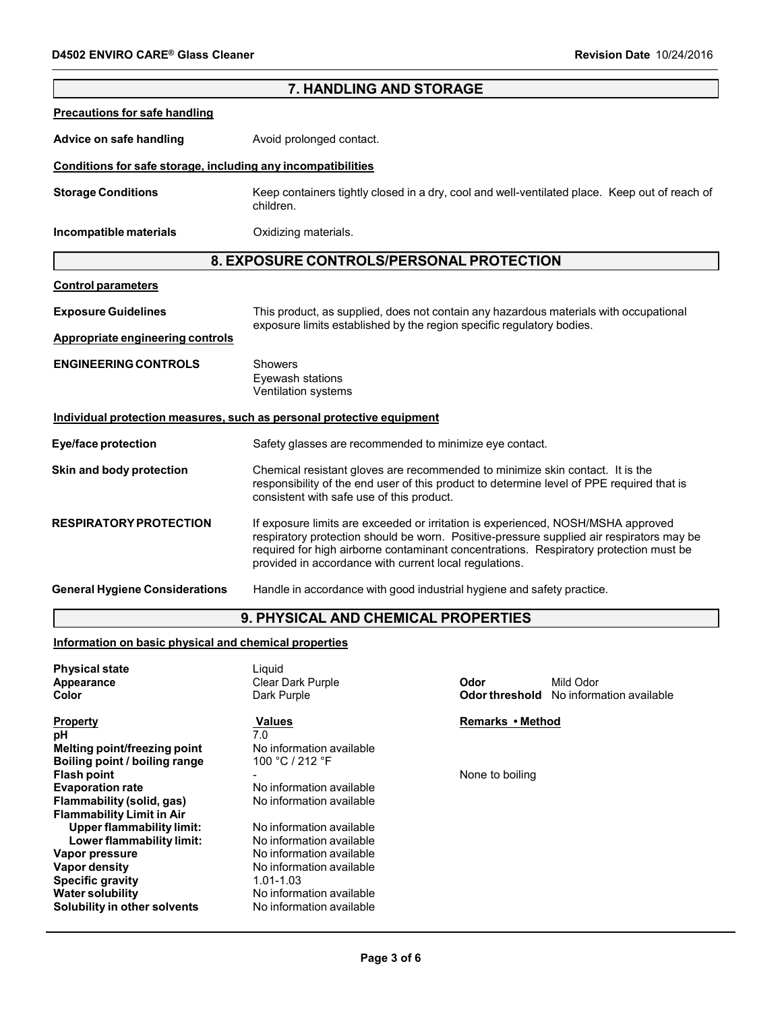|                                                                                                                | 7. HANDLING AND STORAGE                                                                                                                                                                                                                                                                                                         |                  |                                                             |
|----------------------------------------------------------------------------------------------------------------|---------------------------------------------------------------------------------------------------------------------------------------------------------------------------------------------------------------------------------------------------------------------------------------------------------------------------------|------------------|-------------------------------------------------------------|
| <b>Precautions for safe handling</b>                                                                           |                                                                                                                                                                                                                                                                                                                                 |                  |                                                             |
| Advice on safe handling                                                                                        | Avoid prolonged contact.                                                                                                                                                                                                                                                                                                        |                  |                                                             |
| Conditions for safe storage, including any incompatibilities                                                   |                                                                                                                                                                                                                                                                                                                                 |                  |                                                             |
| <b>Storage Conditions</b>                                                                                      | Keep containers tightly closed in a dry, cool and well-ventilated place. Keep out of reach of<br>children.                                                                                                                                                                                                                      |                  |                                                             |
| Incompatible materials                                                                                         | Oxidizing materials.                                                                                                                                                                                                                                                                                                            |                  |                                                             |
|                                                                                                                | 8. EXPOSURE CONTROLS/PERSONAL PROTECTION                                                                                                                                                                                                                                                                                        |                  |                                                             |
| <b>Control parameters</b>                                                                                      |                                                                                                                                                                                                                                                                                                                                 |                  |                                                             |
| <b>Exposure Guidelines</b>                                                                                     | This product, as supplied, does not contain any hazardous materials with occupational<br>exposure limits established by the region specific regulatory bodies.                                                                                                                                                                  |                  |                                                             |
| <b>Appropriate engineering controls</b>                                                                        |                                                                                                                                                                                                                                                                                                                                 |                  |                                                             |
| <b>ENGINEERING CONTROLS</b>                                                                                    | Showers<br>Eyewash stations<br>Ventilation systems                                                                                                                                                                                                                                                                              |                  |                                                             |
|                                                                                                                | Individual protection measures, such as personal protective equipment                                                                                                                                                                                                                                                           |                  |                                                             |
| <b>Eye/face protection</b>                                                                                     | Safety glasses are recommended to minimize eye contact.                                                                                                                                                                                                                                                                         |                  |                                                             |
| Skin and body protection                                                                                       | Chemical resistant gloves are recommended to minimize skin contact. It is the<br>responsibility of the end user of this product to determine level of PPE required that is<br>consistent with safe use of this product.                                                                                                         |                  |                                                             |
| <b>RESPIRATORY PROTECTION</b>                                                                                  | If exposure limits are exceeded or irritation is experienced, NOSH/MSHA approved<br>respiratory protection should be worn. Positive-pressure supplied air respirators may be<br>required for high airborne contaminant concentrations. Respiratory protection must be<br>provided in accordance with current local regulations. |                  |                                                             |
| <b>General Hygiene Considerations</b>                                                                          | Handle in accordance with good industrial hygiene and safety practice.                                                                                                                                                                                                                                                          |                  |                                                             |
|                                                                                                                | 9. PHYSICAL AND CHEMICAL PROPERTIES                                                                                                                                                                                                                                                                                             |                  |                                                             |
| Information on basic physical and chemical properties                                                          |                                                                                                                                                                                                                                                                                                                                 |                  |                                                             |
| <b>Physical state</b>                                                                                          | Liquid                                                                                                                                                                                                                                                                                                                          |                  |                                                             |
| Appearance<br>Color                                                                                            | Clear Dark Purple<br>Dark Purple                                                                                                                                                                                                                                                                                                | Odor             | Mild Odor<br><b>Odor threshold</b> No information available |
| <b>Property</b><br>рH<br>Melting point/freezing point<br>Boiling point / boiling range                         | <b>Values</b><br>7.0<br>No information available<br>100 °C / 212 °F                                                                                                                                                                                                                                                             | Remarks • Method |                                                             |
| <b>Flash point</b><br><b>Evaporation rate</b><br>Flammability (solid, gas)<br><b>Flammability Limit in Air</b> | No information available<br>No information available                                                                                                                                                                                                                                                                            | None to boiling  |                                                             |
| <b>Upper flammability limit:</b><br>Lower flammability limit:                                                  | No information available<br>No information available                                                                                                                                                                                                                                                                            |                  |                                                             |
| Vapor pressure<br><b>Vapor density</b><br><b>Specific gravity</b><br><b>Water solubility</b>                   | No information available<br>No information available<br>1.01-1.03<br>No information available                                                                                                                                                                                                                                   |                  |                                                             |
| Solubility in other solvents                                                                                   | No information available                                                                                                                                                                                                                                                                                                        |                  |                                                             |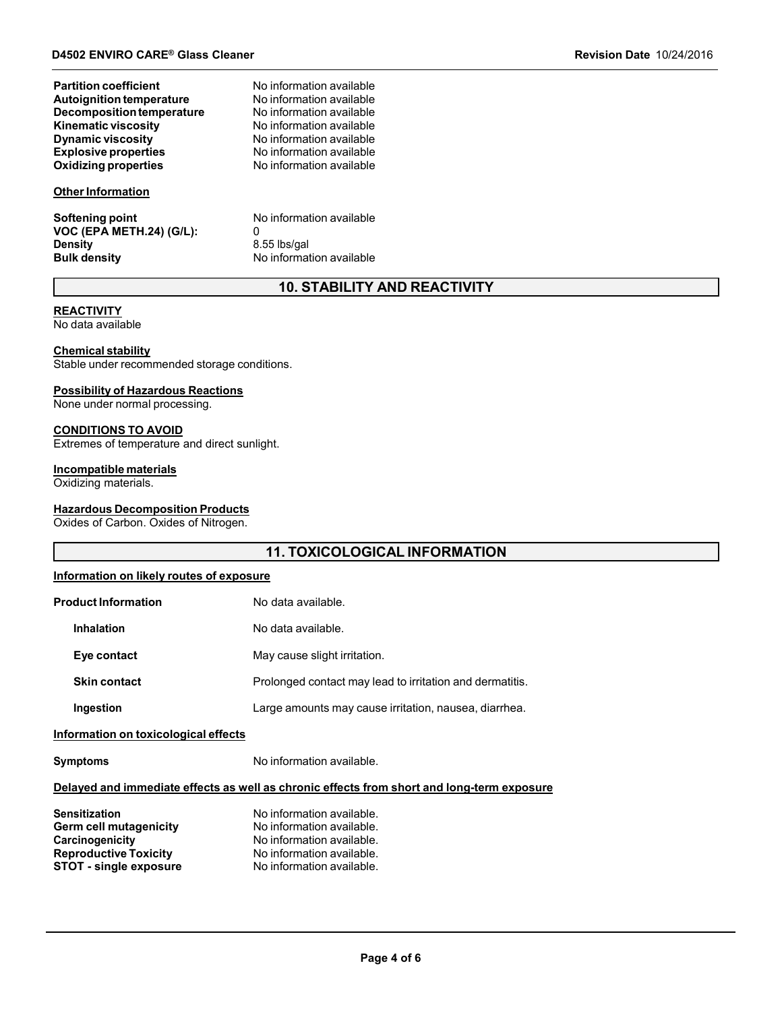| <b>Partition coefficient</b>    |  |
|---------------------------------|--|
| <b>Autoignition temperature</b> |  |
| Decomposition temperature       |  |
| <b>Kinematic viscosity</b>      |  |
| <b>Dynamic viscosity</b>        |  |
| <b>Explosive properties</b>     |  |
| Oxidizing properties            |  |

#### **Other Information**

**Softening point** No information available **VOC (EPA METH.24) (G/L):** 0<br>Density 8. **Density** 8.55 lbs/gal<br> **Bulk density Bulk density Reserves** 

**No information available No information available Dynamic viscosity** No information available **Explosive properties** No information available g properties **No information available** 

**No information available No information available** 

**No information available** 

# **10. STABILITY AND REACTIVITY**

## **REACTIVITY**

No data available

#### **Chemical stability**

Stable under recommended storage conditions.

#### **Possibility of Hazardous Reactions**

None under normal processing.

### **CONDITIONS TO AVOID**

Extremes of temperature and direct sunlight.

### **Incompatible materials**

Oxidizing materials.

#### **Hazardous Decomposition Products**

Oxides of Carbon. Oxides of Nitrogen.

# **11. TOXICOLOGICAL INFORMATION**

### **Information on likely routes of exposure**

| <b>Product Information</b> | No data available.                                       |
|----------------------------|----------------------------------------------------------|
| <b>Inhalation</b>          | No data available.                                       |
| Eye contact                | May cause slight irritation.                             |
| <b>Skin contact</b>        | Prolonged contact may lead to irritation and dermatitis. |
| Ingestion                  | Large amounts may cause irritation, nausea, diarrhea.    |
|                            |                                                          |

#### **Information on toxicological effects**

**Symptoms** No information available.

### **Delayed and immediate effects as well as chronic effects from short and long-term exposure**

| <b>Sensitization</b>          | No information available. |
|-------------------------------|---------------------------|
| <b>Germ cell mutagenicity</b> | No information available. |
| Carcinogenicity               | No information available. |
| <b>Reproductive Toxicity</b>  | No information available. |
| <b>STOT - single exposure</b> | No information available. |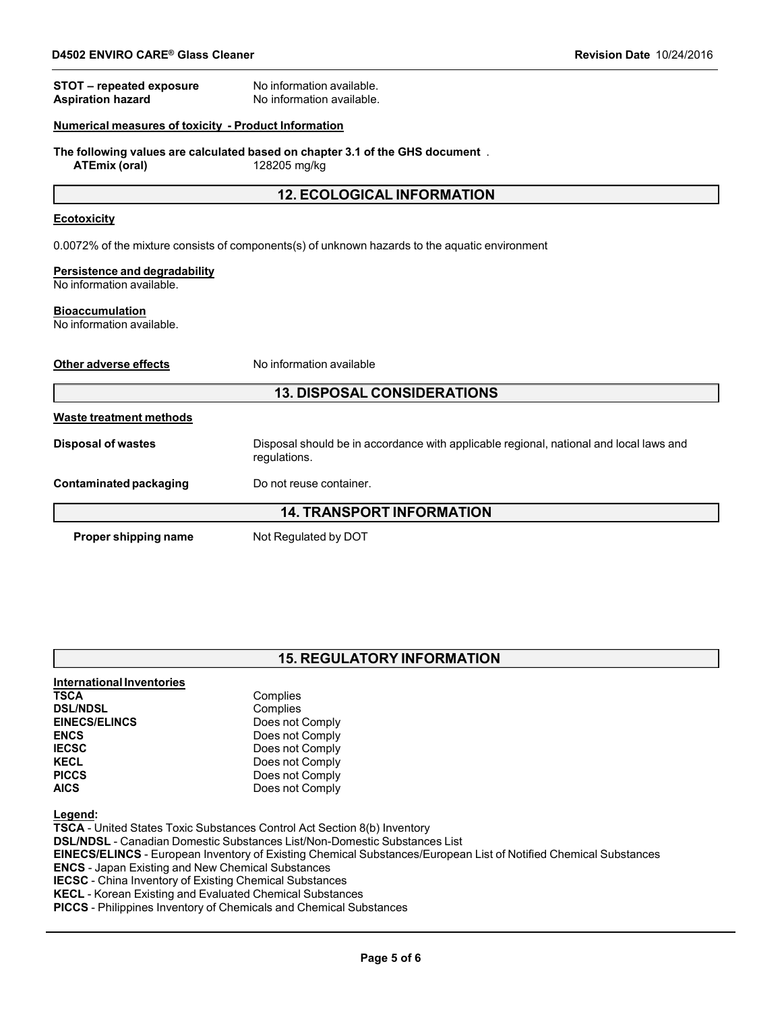| STOT - repeated exposure<br><b>Aspiration hazard</b>        | No information available.<br>No information available.                                                 |  |
|-------------------------------------------------------------|--------------------------------------------------------------------------------------------------------|--|
| <b>Numerical measures of toxicity - Product Information</b> |                                                                                                        |  |
| <b>ATEmix (oral)</b>                                        | The following values are calculated based on chapter 3.1 of the GHS document.<br>128205 mg/kg          |  |
|                                                             | <b>12. ECOLOGICAL INFORMATION</b>                                                                      |  |
| <b>Ecotoxicity</b>                                          |                                                                                                        |  |
|                                                             | 0.0072% of the mixture consists of components(s) of unknown hazards to the aquatic environment         |  |
| Persistence and degradability<br>No information available.  |                                                                                                        |  |
| <b>Bioaccumulation</b><br>No information available.         |                                                                                                        |  |
| Other adverse effects                                       | No information available                                                                               |  |
| <b>13. DISPOSAL CONSIDERATIONS</b>                          |                                                                                                        |  |
| <b>Waste treatment methods</b>                              |                                                                                                        |  |
| <b>Disposal of wastes</b>                                   | Disposal should be in accordance with applicable regional, national and local laws and<br>regulations. |  |
| <b>Contaminated packaging</b>                               | Do not reuse container.                                                                                |  |
| <b>14. TRANSPORT INFORMATION</b>                            |                                                                                                        |  |
| Proper shipping name                                        | Not Regulated by DOT                                                                                   |  |

| <b>15. REGULATORY INFORMATION</b> |  |
|-----------------------------------|--|
|-----------------------------------|--|

| International Inventories                                    |                                                                                                                         |
|--------------------------------------------------------------|-------------------------------------------------------------------------------------------------------------------------|
| <b>TSCA</b>                                                  | Complies                                                                                                                |
| <b>DSL/NDSL</b>                                              | Complies                                                                                                                |
| <b>EINECS/ELINCS</b>                                         | Does not Comply                                                                                                         |
| <b>ENCS</b>                                                  | Does not Comply                                                                                                         |
| <b>IECSC</b>                                                 | Does not Comply                                                                                                         |
| <b>KECL</b>                                                  | Does not Comply                                                                                                         |
| <b>PICCS</b>                                                 | Does not Comply                                                                                                         |
| <b>AICS</b>                                                  | Does not Comply                                                                                                         |
| Legend:                                                      |                                                                                                                         |
|                                                              | <b>TSCA</b> - United States Toxic Substances Control Act Section 8(b) Inventory                                         |
|                                                              | <b>DSL/NDSL</b> - Canadian Domestic Substances List/Non-Domestic Substances List                                        |
|                                                              | <b>EINECS/ELINCS</b> - European Inventory of Existing Chemical Substances/European List of Notified Chemical Substances |
| <b>ENCS</b> - Japan Existing and New Chemical Substances     |                                                                                                                         |
| <b>IECCO</b> China Inventory of Existing Chamical Substances |                                                                                                                         |

**IECSC** - China Inventory of Existing Chemical Substances

**KECL** - Korean Existing and Evaluated Chemical Substances

**PICCS** - Philippines Inventory of Chemicals and Chemical Substances